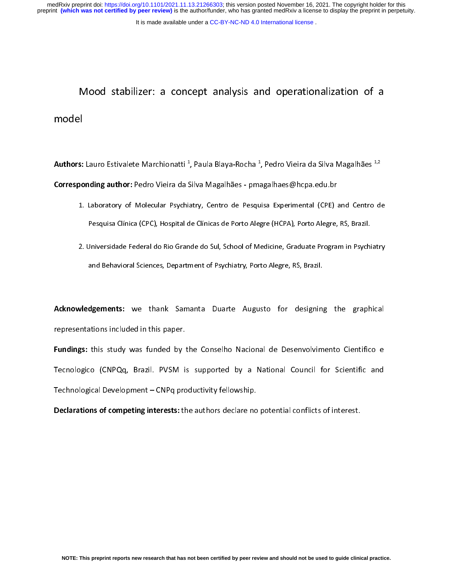It is made available under a [CC-BY-NC-ND 4.0 International license](http://creativecommons.org/licenses/by-nc-nd/4.0/) .

Mood stabilizer: a concept analysis and operationalization of a model

 $\overline{\phantom{0}}$ Authors: Lauro Estivalete Marchionatti <sup>1</sup>, Paula Blaya-Rocha 1<br>Corresponding author: Pedro Vieira da Silva Magalhães - pma<br>Antional Antional Antiocha II na Rocha II na Rocha II na Rocha II Authors: Lauro Estivalete Marchionatti<sup>1</sup>, Paula Blaya-Rocha<sup>1</sup>, Pedro Vieira da Silva Magalhães<sup>1,2</sup>

- Corresponding author: Pedro Vieira da Silva Magalhães philagalhães@hcpa.edu.br<br>1. Laboratory of Molecular Psychiatry, Centro de Pesquisa Experimental (CPE) a<br>2. Recenting Clínica (CPC), Heceital de Clínicas de Perte Aleg 1. Laboratory of Molecular Psychiatry, Centro de Pesquisa Experimental (CPE) and Centro de Pesquisa Clínica (CPC), Hospital de Clínicas de Porto Alegre (HCPA), Porto Alegre, RS, Brazil.
	- 2. Universidade Federal do Rio Grande do Sul, School of Medicine, Graduate Program in Psychiatry and Behavioral Sciences, Department of Psychiatry, Porto Alegre, RS, Brazil.

Acknowledgements: we thank Samanta Duarte Augusto for designing the graphical<br>representations included in this paper. representations included in this paper.<br>**Fundings:** this study was funded by the Conselho Nacional de Desenvolvimento Cientifico e

Tecnologico (CNPQq, Brazil. PVSM is supported by a National Council for Scientific and Technological Development - CNPq productivity fellowship.

Declarations of competing interests: the authors declare no potential conflicts of interest. Declarations of competing interests: the authors declare no potential conflicts of interest.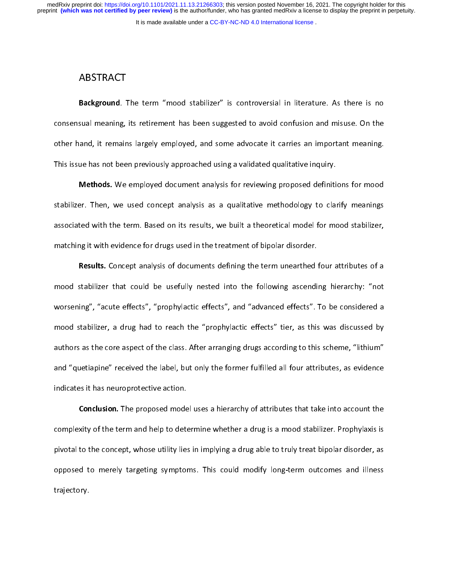#### It is made available under a [CC-BY-NC-ND 4.0 International license](http://creativecommons.org/licenses/by-nc-nd/4.0/) .

## ABSTRACT

**Background**. The term "mood stabilizer" is controversial in literature. As there is no<br>consensual meaning, its retirement has been suggested to avoid confusion and misuse. On the other hand, it remains largely employed, and some advocate it carries an important meaning. This issue has not been previously approached using a validated qualitative inquiry.

**Methods.** We employed document analysis for reviewing proposed definitions for mood stabilizer. Then, we used concept analysis as a qualitative methodology to clarify meanings associated with the term. Based on its results, we built a theoretical model for mood stabilizer, matching it with evidence for drugs used in the treatment of bipolar disorder.

Results. Concept analysis of documents defining the term unearthed four attributes of a mood stabilizer that could be usefully nested into the following ascending hierarchy: "not worsening", "acute effects", "prophylactic effects", and "advanced effects". To be considered a mood stabilizer, a drug had to reach the "prophylactic effects" tier, as this was discussed by authors as the core aspect of the class. After arranging drugs according to this scheme, "lithium" and "quetiapine" received the label, but only the former fulfilled all four attributes, as evidence<br>indicates it has neuroprotective action. and "quetiapine" received the label, but only the former fulfilled all former functions, as evidences, as evidences<br>indicates it has neuroprotective action.

**Conclusion.** The proposed model uses a hierarchy of attributes that take into account the complexity of the term and help to determine whether a drug is a mood stabilizer. Prophylaxis is pivotal to the concept, whose utility lies in implying a drug able to truly treat bipolar disorder, as opposed to merely targeting symptoms. This could modify long-term outcomes and illness<br>trajectory.  $\Gamma$  opensymptoms. This could modify long-term outcomes and indicate  $\Gamma$  is contained to the symptoms. This could model is an additional model with  $\Gamma$  is an additional model with  $\Gamma$  is an additional model with  $\Gamma$  i trajectory.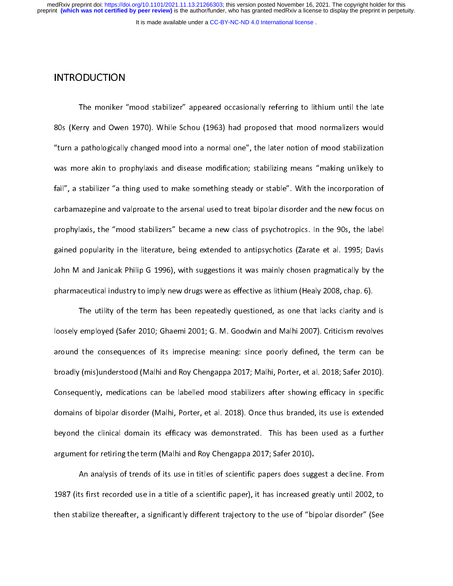#### It is made available under a [CC-BY-NC-ND 4.0 International license](http://creativecommons.org/licenses/by-nc-nd/4.0/) .

## **INTRODUCTION**

The moniker "mood stabilizer" appeared occasionally referring to lithium until the late<br>80s (Kerry and Owen 1970). While Schou (1963) had proposed that mood normalizers would "turn a pathologically changed mood into a normal one", the later notion of mood stabilization was more akin to prophylaxis and disease modification; stabilizing means "making unlikely to fail", a stabilizer "a thing used to make something steady or stable". With the incorporation of carbamazepine and valproate to the arsenal used to treat bipolar disorder and the new focus on prophylaxis, the "mood stabilizers" became a new class of psychotropics. In the 90s, the label gained popularity in the literature, being extended to antipsychotics (Zarate et al. 1995; Davis John M and Janicak Philip G 1996), with suggestions it was mainly chosen pragmatically by the pharmaceutical industry to imply new drugs were as effective as lithium (Healy 2008, chap. 6).

The utility of the term has been repeatedly questioned, as one that lacks clarity and is loosely employed (Safer 2010; Ghaemi 2001; G. M. Goodwin and Malhi 2007). Criticism revolves around the consequences of its imprecise meaning: since poorly defined, the term can be broadly (mis)understood (Malhi and Roy Chengappa 2017; Malhi, Porter, et al. 2018; Safer 2010). Consequently, medications can be labelled mood stabilizers after showing efficacy in specific domains of bipolar disorder (Malhi, Porter, et al. 2018). Once thus branded, its use is extended beyond the clinical domain its efficacy was demonstrated. This has been used as a further argument for retiring the term (Malhi and Roy Chengappa 2017; Safer 2010).

An analysis of trends of its use in titles of scientific papers does suggest a decline. From 1987 (its first recorded use in a title of a scientific paper), it has increased greatly until 2002, to then stabilize thereafter, a significantly different trajectory to the use of "bipolar disorder" (See  $t_{\rm eff}$  stabilize the useful trajectory different trajectory to the use of "bipolar disorder" (See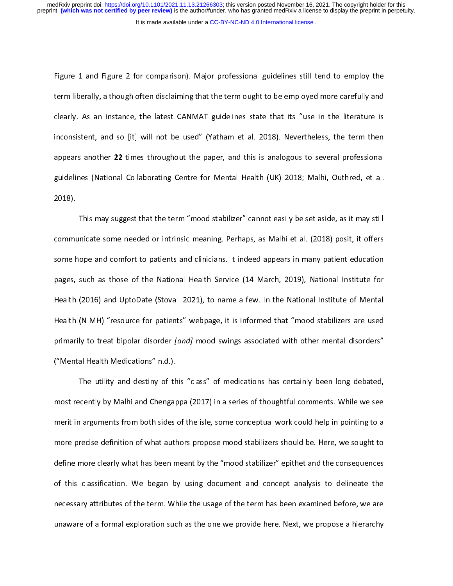Figure 1 and Figure 2 for comparison). Major professional guidelines still tend to employ the<br>term liberally, although often disclaiming that the term ought to be employed more carefully and clearly. As an instance, the latest CANMAT guidelines state that its "use in the literature is inconsistent, and so [it] will not be used" (Yatham et al. 2018). Nevertheless, the term then appears another 22 times throughout the paper, and this is analogous to several professional guidelines (National Collaborating Centre for Mental Health (UK) 2018; Malhi, Outhred, et al.<br>2018). guidelines (National Collaborational Collaborational Mental Health (UK) 2018; Malhi, Outlred, et al., Outlred, et al., Outlred, et al., Outlred, et al., Outlred, et al., Outlred, et al., Outlred, et al., Outlred, et al., O

 $\overline{\phantom{a}}$ This may suggest that the term "mood stabilizer" cannot easily be set aside, as it may still<br>communicate some needed or intrinsic meaning. Perhaps, as Malhi et al. (2018) posit, it offers some hope and comfort to patients and clinicians. It indeed appears in many patient education pages, such as those of the National Health Service (14 March, 2019), National Institute for Health (2016) and UptoDate (Stovall 2021), to name a few. In the National Institute of Mental Health (NIMH) "resource for patients" webpage, it is informed that "mood stabilizers are used primarily to treat bipolar disorder *[and]* mood swings associated with other mental disorders"<br>("Mental Health Medications" n.d.). primarily to treat bipolar disorder *[and]* mood swings associated with other mental disorders"<br>("Mental Health Medications" n.d.).

The utility and destiny of this "class" of medications has certainly been long debated, most recently by Malhi and Chengappa (2017) in a series of thoughtful comments. While we see merit in arguments from both sides of the isle, some conceptual work could help in pointing to a more precise definition of what authors propose mood stabilizers should be. Here, we sought to define more clearly what has been meant by the "mood stabilizer" epithet and the consequences of this classification. We began by using document and concept analysis to delineate the necessary attributes of the term. While the usage of the term has been examined before, we are unaware of a formal exploration such as the one we provide here. Next, we propose a hierarchy  $u_n = u_n$  for a formal exploration such as the one provide here. Next, we propose a hierarchy,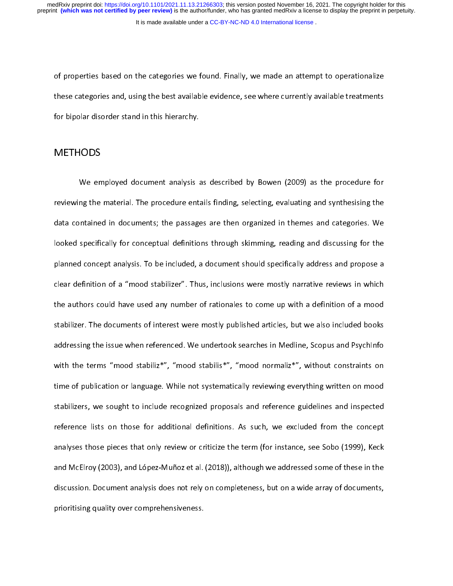of properties based on the categories we found. Finally, we made an attempt to operationalize<br>these categories and, using the best available evidence, see where currently available treatments<br>for bipolar disorder stand in these categories and, using the best available evidence, see which currently available treatments<br>for bipolar disorder stand in this hierarchy.

## $\begin{array}{c} \text{if} \ \text{if} \ \text{if} \ \text{if} \ \text{if} \ \text{if} \ \text{if} \ \text{if} \ \text{if} \ \text{if} \ \text{if} \ \text{if} \ \text{if} \ \text{if} \ \text{if} \ \text{if} \ \text{if} \ \text{if} \ \text{if} \ \text{if} \ \text{if} \ \text{if} \ \text{if} \ \text{if} \ \text{if} \ \text{if} \ \text{if} \ \text{if} \ \text{if} \ \text{if} \ \text{if} \ \text{if} \ \text{if} \ \text{if} \ \text{if} \ \text{$ METHODS

We employed document analysis as described by Bowen (2009) as the procedure for<br>reviewing the material. The procedure entails finding, selecting, evaluating and synthesising the data contained in documents; the passages are then organized in themes and categories. We looked specifically for conceptual definitions through skimming, reading and discussing for the planned concept analysis. To be included, a document should specifically address and propose a clear definition of a "mood stabilizer". Thus, inclusions were mostly narrative reviews in which the authors could have used any number of rationales to come up with a definition of a mood stabilizer. The documents of interest were mostly published articles, but we also included books addressing the issue when referenced. We undertook searches in Medline, Scopus and PsychInfo with the terms "mood stabiliz\*", "mood stabilis\*", "mood normaliz\*", without constraints on time of publication or language. While not systematically reviewing everything written on mood stabilizers, we sought to include recognized proposals and reference guidelines and inspected reference lists on those for additional definitions. As such, we excluded from the concept analyses those pieces that only review or criticize the term (for instance, see Sobo (1999), Keck and McElroy (2003), and López-Muñoz et al. (2018)), although we addressed some of these in the discussion. Document analysis does not rely on completeness, but on a wide array of documents,<br>prioritising quality over comprehensiveness. discussion. Document and the control of the contribution of the control of the control of the control of documents,  $\frac{d}{dt}$  are provided to do cuments,  $\frac{d}{dt}$  and  $\frac{d}{dt}$  are provided to do cuments,  $\frac{d}{dt}$  and  $\$ prioritising quality over comprehensiveness.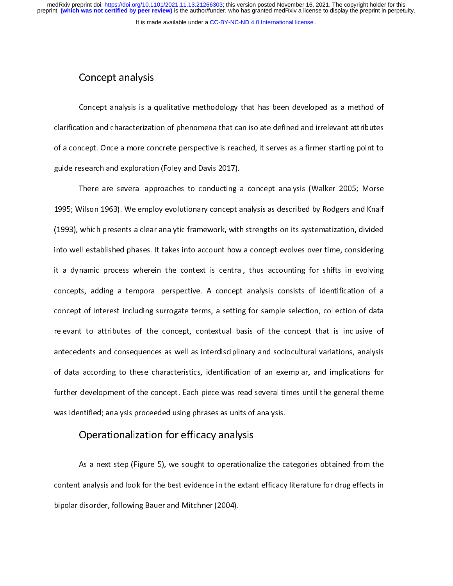It is made available under a CC-BY-NC-ND 4.0 International license.

## Concept analysis

Concept analysis is a qualitative methodology that has been developed as a method of<br>clarification and characterization of phenomena that can isolate defined and irrelevant attributes of a concept. Once a more concrete perspective is reached, it serves as a firmer starting point to guide research and exploration (Foley and Davis 2017).

There are several approaches to conducting a concept analysis (Walker 2005; Morse 1995; Wilson 1963). We employ evolutionary concept analysis as described by Rodgers and Knalf (1993), which presents a clear analytic framework, with strengths on its systematization, divided into well established phases. It takes into account how a concept evolves over time, considering it a dynamic process wherein the context is central, thus accounting for shifts in evolving concepts, adding a temporal perspective. A concept analysis consists of identification of a concept of interest including surrogate terms, a setting for sample selection, collection of data relevant to attributes of the concept, contextual basis of the concept that is inclusive of antecedents and consequences as well as interdisciplinary and sociocultural variations, analysis of data according to these characteristics, identification of an exemplar, and implications for further development of the concept. Each piece was read several times until the general theme was identified; analysis proceeded using phrases as units of analysis.

# was identified; analysis proceeded using phrases as units of analysis.<br>Operationalization for efficacy analysis

As a next step (Figure 5), we sought to operationalize the categories obtained from the<br>content analysis and look for the best evidence in the extant efficacy literature for drug effects in bipolar disorder, following Bauer and Mitchner (2004). bipolar disorder, following Bauer and Mitchner (2004).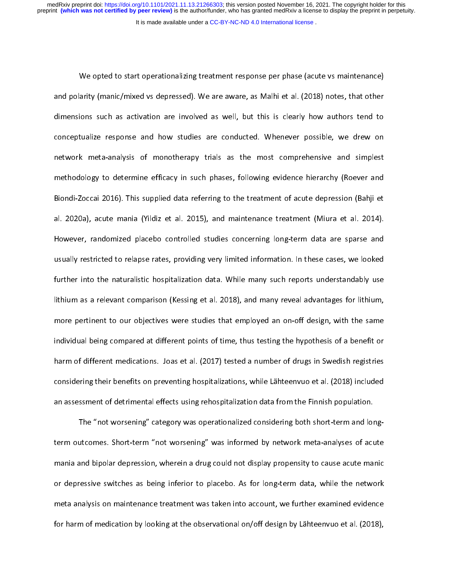It is made available under a [CC-BY-NC-ND 4.0 International license](http://creativecommons.org/licenses/by-nc-nd/4.0/) .

We opted to start operationalizing treatment response per phase (acute vs maintenance)<br>and polarity (manic/mixed vs depressed). We are aware, as Malhi et al. (2018) notes, that other dimensions such as activation are involved as well, but this is clearly how authors tend to conceptualize response and how studies are conducted. Whenever possible, we drew on network meta-analysis of monotherapy trials as the most comprehensive and simplest methodology to determine efficacy in such phases, following evidence hierarchy (Roever and Biondi-Zoccai 2016). This supplied data referring to the treatment of acute depression (Bahji et al. 2020a), acute mania (Yildiz et al. 2015), and maintenance treatment (Miura et al. 2014). However, randomized placebo controlled studies concerning long-term data are sparse and usually restricted to relapse rates, providing very limited information. In these cases, we looked further into the naturalistic hospitalization data. While many such reports understandably use lithium as a relevant comparison (Kessing et al. 2018), and many reveal advantages for lithium, more pertinent to our objectives were studies that employed an on-off design, with the same individual being compared at different points of time, thus testing the hypothesis of a benefit or harm of different medications. Joas et al. (2017) tested a number of drugs in Swedish registries considering their benefits on preventing hospitalizations, while Lähteenvuo et al. (2018) included an assessment of detrimental effects using rehospitalization data from the Finnish population.

The "not worsening" category was operationalized considering both short-term and long-<br>term outcomes. Short-term "not worsening" was informed by network meta-analyses of acute The "not worsening" category was operationalized considering both short-term and longterm outcomes. Short-term "not worsening" was informed by network meta-analyses of acute or depressive switches as being inferior to placebo. As for long-term data, while the network meta analysis on maintenance treatment was taken into account, we further examined evidence for harm of medication by looking at the observational on/off design by Lähteenvuo et al. (2018), for harm of medication by location by looking at the observation by  $\mathcal{F}_0$  and  $\mathcal{F}_0$  and  $\mathcal{F}_1$  and  $\mathcal{F}_2$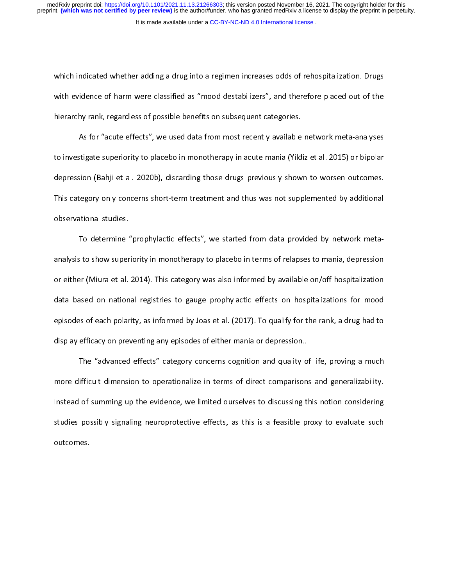which indicated whether adding a drug into a regimen increases odds of rehospitalization. Drugs<br>with evidence of harm were classified as "mood destabilizers", and therefore placed out of the hierarchy rank, regardless of possible benefits on subsequent categories.

As for "acute effects", we used data from most recently available network meta-analyses to investigate superiority to placebo in monotherapy in acute mania (Yildiz et al. 2015) or bipolar depression (Bahji et al. 2020b), discarding those drugs previously shown to worsen outcomes. This category only concerns short-term treatment and thus was not supplemented by additional<br>observational studies. This category only concerns short-term treatment and thus was not supplemented by additional

To determine "prophylactic effects", we started from data provided by network meta-<br>analysis to show superiority in monotherapy to placebo in terms of relapses to mania, depression To determine "prophylactic effects", we started from data provided by network metaanalysis to the construction in terms of the construction.<br>This category was also informed by available on/off hospitalization.<br>And the place of the plants of the plants of the plants of the plants of the plants of the pla data based on national registries to gauge prophylactic effects on hospitalizations for mood episodes of each polarity, as informed by Joas et al. (2017). To qualify for the rank, a drug had to display efficacy on preventing any episodes of either mania or depression..

The "advanced effects" category concerns cognition and quality of life, proving a much more difficult dimension to operationalize in terms of direct comparisons and generalizability. Instead of summing up the evidence, we limited ourselves to discussing this notion considering studies possibly signaling neuroprotective effects, as this is a feasible proxy to evaluate such<br>outcomes. statues possibly signaling neuroprotective effects, as this is a feature proxy to evaluate such  $\frac{1}{2}$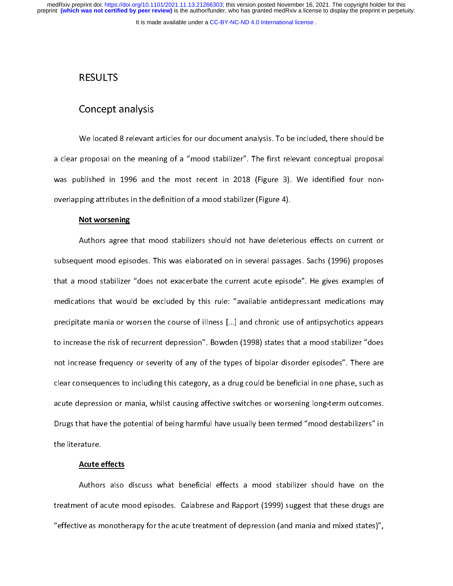It is made available under a CC-BY-NC-ND 4.0 International license.

## RESULTS

### Concept analysis

We located 8 relevant articles for our document analysis. To be included, there should be<br>a clear proposal on the meaning of a "mood stabilizer". The first relevant conceptual proposal was published in 1996 and the most recent in 2018 (Figure 3). We identified four non-<br>overlapping attributes in the definition of a mood stabilizer (Figure 4).

## was published in 1996 and the most recent in 2018 (Figure 3). We identified four non-------------------------overlapping attributes in the definition of a mood stabilizer (Figure 4).<br>The definition of a mood stabilizer (Figure 4). Not worsening

Authors agree that mood stabilizers should not have deleterious effects on current or<br>subsequent mood episodes. This was elaborated on in several passages. Sachs (1996) proposes that a mood stabilizer "does not exacerbate the current acute episode". He gives examples of medications that would be excluded by this rule: "available antidepressant medications may precipitate mania or worsen the course of illness [...] and chronic use of antipsychotics appears to increase the risk of recurrent depression". Bowden (1998) states that a mood stabilizer "does not increase frequency or severity of any of the types of bipolar disorder episodes". There are clear consequences to including this category, as a drug could be beneficial in one phase, such as acute depression or mania, whilst causing affective switches or worsening long-term outcomes. Drugs that have the potential of being harmful have usually been termed "mood destabilizers" in<br>the literature.  $\begin{array}{ccc} \texttt{C} & \texttt{D} & \texttt{D} & \texttt{D} & \texttt{D} & \texttt{D} & \texttt{D} \ \texttt{D} & \texttt{D} & \texttt{D} & \texttt{D} & \texttt{D} & \texttt{D} & \texttt{D} & \texttt{D} & \texttt{D} & \texttt{D} & \texttt{D} & \texttt{D} & \texttt{D} & \texttt{D} & \texttt{D} & \texttt{D} & \texttt{D} & \texttt{D} & \texttt{D} & \texttt{D} & \texttt{D} & \texttt{D} & \texttt{D} & \texttt$ 

## $\frac{\text{Acute}}{\text{c}}$ Acute effects

Authors also discuss what beneficial effects a mood stabilizer should have on the<br>treatment of acute mood episodes. Calabrese and Rapport (1999) suggest that these drugs are "effective as monotherapy for the acute treatment of depression (and mania and mixed states)". effective as monotherapy for the acute treatment of depression (and mania and mixed states)",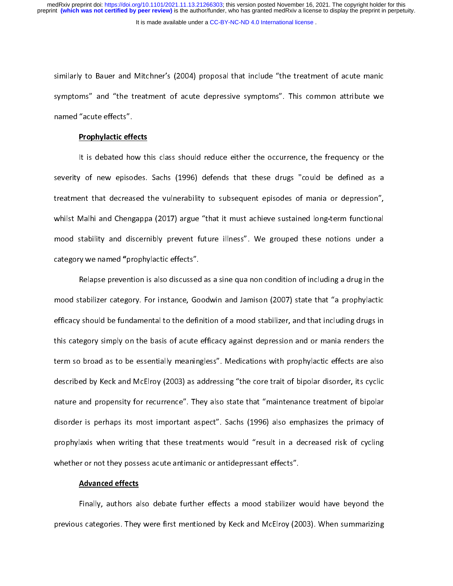It is made available under a [CC-BY-NC-ND 4.0 International license](http://creativecommons.org/licenses/by-nc-nd/4.0/) .

similarly to Bauer and Mitchner's (2004) proposal that include "the treatment of acute manic<br>symptoms" and "the treatment of acute depressive symptoms". This common attribute we<br>named "acute effects". symptoms" and "the treatment" of acute symptoms". Symptoms" and "common".<br>named "acute effects".

## erophylactic effالعداد المستوى المستوى المستوى المستوى المستوى المستوى المستوى المستوى المستوى المستوى المستوى<br>المستوى المستوى المستوى المستوى المستوى المستوى المستوى المستوى المستوى المستوى المستوى المستوى المستوى المستو <u>Prophylactic effects</u>

It is debated how this class should reduce either the occurrence, the frequency or the<br>severity of new episodes. Sachs (1996) defends that these drugs "could be defined as a treatment that decreased the vulnerability to subsequent episodes of mania or depression", whilst Malhi and Chengappa (2017) argue "that it must achieve sustained long-term functional mood stability and discernibly prevent future illness". We grouped these notions under a<br>category we named "prophylactic effects". mood stability and discernibly prevent future inless the grouped these notions under a<br>category we named "prophylactic effects".

Relapse prevention is also discussed as a sine qua non condition of including a drug in the mood stabilizer category. For instance, Goodwin and Jamison (2007) state that "a prophylactic efficacy should be fundamental to the definition of a mood stabilizer, and that including drugs in this category simply on the basis of acute efficacy against depression and or mania renders the term so broad as to be essentially meaningless". Medications with prophylactic effects are also described by Keck and McElroy (2003) as addressing "the core trait of bipolar disorder, its cyclic nature and propensity for recurrence". They also state that "maintenance treatment of bipolar disorder is perhaps its most important aspect". Sachs (1996) also emphasizes the primacy of prophylaxis when writing that these treatments would "result in a decreased risk of cycling whether or not they possess acute antimanic or antidepressant effects".

## whether or not they possess acute antimanic or antidepressant effects". Advanced effects

Finally, authors also debate further effects a mood stabilizer would have beyond the<br>previous categories. They were first mentioned by Keck and McElroy (2003). When summarizing previous categories. They were first mentioned by  $\frac{1}{\sqrt{2}}$  ,  $\frac{1}{\sqrt{2}}$  ,  $\frac{1}{\sqrt{2}}$  , when summarizing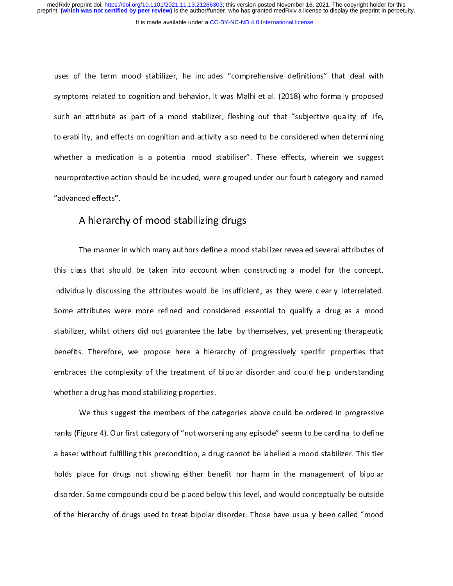It is made available under a [CC-BY-NC-ND 4.0 International license](http://creativecommons.org/licenses/by-nc-nd/4.0/) .

uses of the term mood stabilizer, he includes "comprehensive definitions" that deal with<br>symptoms related to cognition and behavior. It was Malhi et al. (2018) who formally proposed such an attribute as part of a mood stabilizer, fleshing out that "subjective quality of life, tolerability, and effects on cognition and activity also need to be considered when determining whether a medication is a potential mood stabiliser". These effects, wherein we suggest neuroprotective action should be included, were grouped under our fourth category and named<br>"advanced effects". neuroprotective action should be included, were grouped under our fourth category and named

# advanced enects.<br>A hierarchy of mood stabilizing drugs

The manner in which many authors define a mood stabilizer revealed several attributes of<br>this class that should be taken into account when constructing a model for the concept. Individually discussing the attributes would be insufficient, as they were clearly interrelated. Some attributes were more refined and considered essential to qualify a drug as a mood stabilizer, whilst others did not guarantee the label by themselves, yet presenting therapeutic benefits. Therefore, we propose here a hierarchy of progressively specific properties that embraces the complexity of the treatment of bipolar disorder and could help understanding<br>whether a drug has mood stabilizing properties. whether a drug has mood stabilizing properties.<br> $\frac{1}{2}$ 

We thus suggest the members of the categories above could be ordered in progressive ranks (Figure 4). Our first category of "not worsening any episode" seems to be cardinal to define a base: without fulfilling this precondition, a drug cannot be labelled a mood stabilizer. This tier holds place for drugs not showing either benefit nor harm in the management of bipolar disorder. Some compounds could be placed below this level, and would conceptually be outside of the hierarchy of drugs used to treat bipolar disorder. Those have usually been called "mood  $\alpha$  the hierarchy of drugs used to treat bipolar disorder. The hierarchy between called "mood  $\alpha$ "mood  $\alpha$ "mood  $\alpha$ "mood  $\alpha$ "mood  $\alpha$ "mood  $\alpha$ "mood  $\alpha$ "mood  $\alpha$ "mood  $\alpha$ "mood  $\alpha$ "mood  $\alpha$ "mood  $\alpha$ "mood  $\alpha$ "m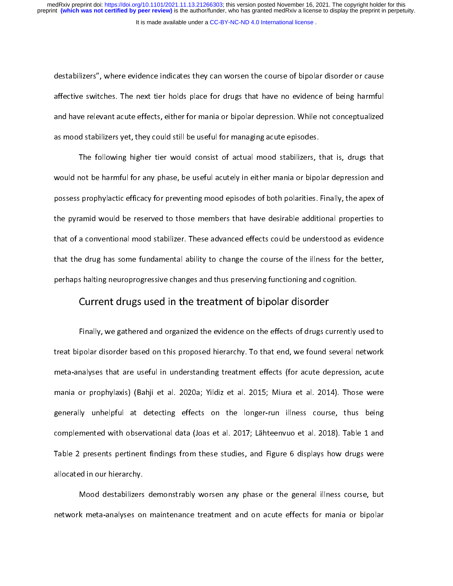destabilizers", where evidence indicates they can worsen the course of bipolar disorder or cause<br>affective switches. The next tier holds place for drugs that have no evidence of being harmful and have relevant acute effects, either for mania or bipolar depression. While not conceptualized as mood stabilizers yet, they could still be useful for managing acute episodes.

The following higher tier would consist of actual mood stabilizers, that is, drugs that would not be harmful for any phase, be useful acutely in either mania or bipolar depression and possess prophylactic efficacy for preventing mood episodes of both polarities. Finally, the apex of the pyramid would be reserved to those members that have desirable additional properties to that of a conventional mood stabilizer. These advanced effects could be understood as evidence that the drug has some fundamental ability to change the course of the illness for the better, perhaps halting neuroprogressive changes and thus preserving functioning and cognition.

# perhaps halfing tempts gresserving functioning functioning and cognition.<br>Current drugs used in the treatment of bipolar disorder

Finally, we gathered and organized the evidence on the effects of drugs currently used to meta-analyses that are useful in understanding treatment effects (for acute depression, acute mania or prophylaxis) (Bahji et al. 2020a; Yildiz et al. 2015; Miura et al. 2014). Those were generally unhelpful at detecting effects on the longer-run illness course, thus being complemented with observational data (Joas et al. 2017; Lähteenvuo et al. 2018). Table 1 and Table 2 presents pertinent findings from these studies, and Figure 6 displays how drugs were<br>allocated in our hierarchy. Table 2 presents pertinent findings from these studies, and Figure 6 displays how drugs were<br>allocated in our hierarchy.<br>- Allocated in our hierarchy.

Mood destabilizers demonstrably worsen any phase or the general illness course, but network meta-analyses on maintenance treatment and on acute effects for mania or bipolar network meta-analyses on maintenance treatment and on acute effects for mania or bipolar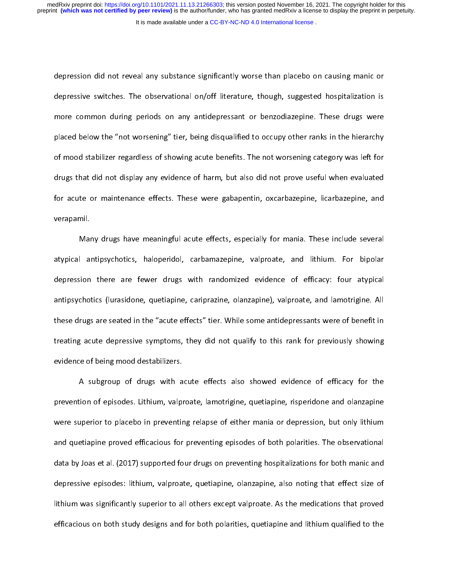depression did not reveal any substance significantly worse than placebo on causing manic or<br>depressive switches. The observational on/off literature, though, suggested hospitalization is more common during periods on any antidepressant or benzodiazepine. These drugs were placed below the "not worsening" tier, being disqualified to occupy other ranks in the hierarchy of mood stabilizer regardless of showing acute benefits. The not worsening category was left for drugs that did not display any evidence of harm, but also did not prove useful when evaluated for acute or maintenance effects. These were gabapentin, oxcarbazepine, licarbazepine, and<br>verapamil. for acute or maintenance effects. These were gabapentin, oxcarbazepine, licarbazepine, licar<br>verapamil.<br>.

r<br>Mar<br>Liste b Many drugs have meaningful acute effects, especially for mania. These include several<br>atypical antipsychotics, haloperidol, carbamazepine, valproate, and lithium. For bipolar depression there are fewer drugs with randomized evidence of efficacy: four atypical antipsychotics (lurasidone, quetiapine, cariprazine, olanzapine), valproate, and lamotrigine. All these drugs are seated in the "acute effects" tier. While some antidepressants were of benefit in treating acute depressive symptoms, they did not qualify to this rank for previously showing<br>evidence of being mood destabilizers. treating acute depressive symptoms, they did not quality to this rank for previously showing<br>evidence of being mood destabilizers.

A subgroup of drugs with acute effects also showed evidence of efficacy for the prevention of episodes. Lithium, valproate, lamotrigine, quetiapine, risperidone and olanzapine were superior to placebo in preventing relapse of either mania or depression, but only lithium and quetiapine proved efficacious for preventing episodes of both polarities. The observational data by Joas et al. (2017) supported four drugs on preventing hospitalizations for both manic and depressive episodes: lithium, valproate, quetiapine, olanzapine, also noting that effect size of lithium was significantly superior to all others except valproate. As the medications that proved efficacious on both study designs and for both polarities, quetiapine and lithium qualified to the efficacious on both study designs and for both polarities, quetiapine and lithium qualified to the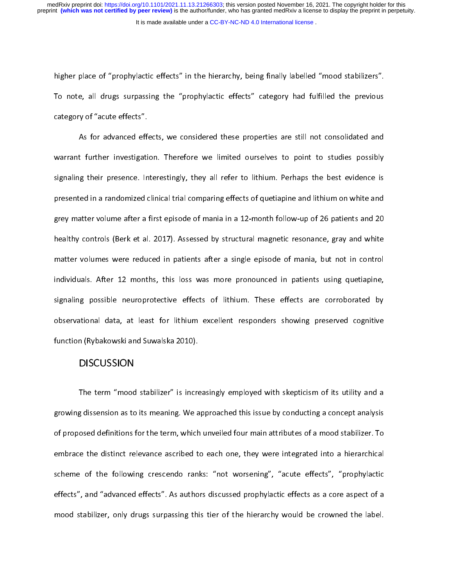higher place of "prophylactic effects" in the hierarchy, being finally labelled "mood stabilizers".<br>To note, all drugs surpassing the "prophylactic effects" category had fulfilled the previous<br>category of "acute effects". To note, all analysis surpassing the "prophylactic effects".<br>Category of "acute effects".

As for advanced effects, we considered these properties are still not consolidated and warrant further investigation. Therefore we limited ourselves to point to studies possibly signaling their presence. Interestingly, they all refer to lithium. Perhaps the best evidence is presented in a randomized clinical trial comparing effects of quetiapine and lithium on white and grey matter volume after a first episode of mania in a 12-month follow-up of 26 patients and 20 healthy controls (Berk et al. 2017). Assessed by structural magnetic resonance, gray and white matter volumes were reduced in patients after a single episode of mania, but not in control individuals. After 12 months, this loss was more pronounced in patients using quetiapine, signaling possible neuroprotective effects of lithium. These effects are corroborated by observational data, at least for lithium excellent responders showing preserved cognitive<br>function (Rybakowski and Suwalska 2010). observational data, and surface at least for littlium excellent response to the control of the control of the control of the control of the control of the control of the control of the control of the control of the control

## Function (Rybakowski and Suwalska 2010).<br>DISCUSSION **DISCUSSION**

The term "mood stabilizer" is increasingly employed with skepticism of its utility and a<br>growing dissension as to its meaning. We approached this issue by conducting a concept analysis of proposed definitions for the term, which unveiled four main attributes of a mood stabilizer. To embrace the distinct relevance ascribed to each one, they were integrated into a hierarchical scheme of the following crescendo ranks: "not worsening", "acute effects", "prophylactic effects", and "advanced effects". As authors discussed prophylactic effects as a core aspect of a mood stabilizer, only drugs surpassing this tier of the hierarchy would be crowned the label. mood stabilizer, only drugs surpassing this tier of this time hierarchy would be crowned the label.<br>The highest surprise the label of the label.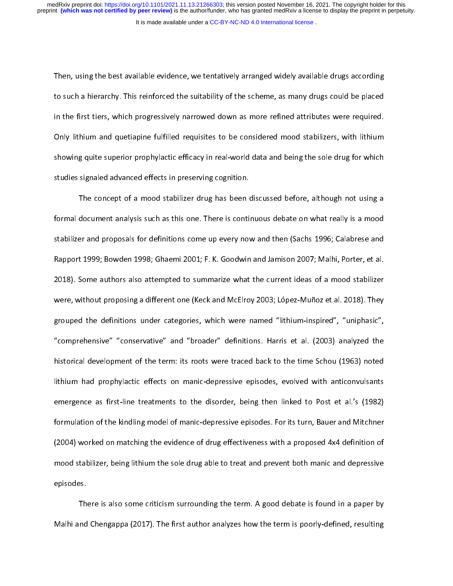Then, using the best available evidence, we tentatively arranged widely available drugs according<br>to such a hierarchy. This reinforced the suitability of the scheme, as many drugs could be placed in the first tiers, which progressively narrowed down as more refined attributes were required. Only lithium and quetiapine fulfilled requisites to be considered mood stabilizers, with lithium showing quite superior prophylactic efficacy in real-world data and being the sole drug for which studies signaled advanced effects in preserving cognition.

The concept of a mood stabilizer drug has been discussed before, although not using a formal document analysis such as this one. There is continuous debate on what really is a mood stabilizer and proposals for definitions come up every now and then (Sachs 1996; Calabrese and Rapport 1999; Bowden 1998; Ghaemi 2001; F. K. Goodwin and Jamison 2007; Malhi, Porter, et al. 2018). Some authors also attempted to summarize what the current ideas of a mood stabilizer were, without proposing a different one (Keck and McElroy 2003; López-Muñoz et al. 2018). They grouped the definitions under categories, which were named "lithium-inspired", "uniphasic", "comprehensive" "conservative" and "broader" definitions. Harris et al. (2003) analyzed the historical development of the term: its roots were traced back to the time Schou (1963) noted lithium had prophylactic effects on manic-depressive episodes, evolved with anticonvulsants emergence as first-line treatments to the disorder, being then linked to Post et al.'s (1982) formulation of the kindling model of manic-depressive episodes. For its turn, Bauer and Mitchner (2004) worked on matching the evidence of drug effectiveness with a proposed 4x4 definition of mood stabilizer, being lithium the sole drug able to treat and prevent both manic and depressive<br>episodes. mood stabilizer, being lithium the sole drug able to treat and prevent both manic and depressive

episodes. There is also some criticism surrounding the term. A good debate is found in a paper by<br>Malhi and Chengappa (2017). The first author analyzes how the term is poorly-defined, resulting Malhi and Chengappa (2017). The first author analyzes how the term is poorly-defined, resulting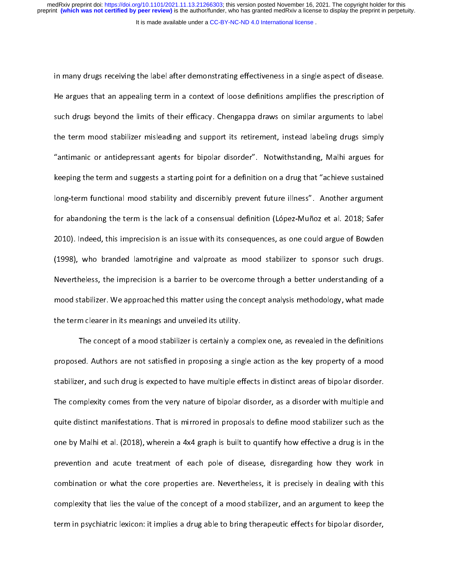It is made available under a [CC-BY-NC-ND 4.0 International license](http://creativecommons.org/licenses/by-nc-nd/4.0/) .

in many drugs receiving the label after demonstrating effectiveness in a single aspect of disease. such drugs beyond the limits of their efficacy. Chengappa draws on similar arguments to label the term mood stabilizer misleading and support its retirement, instead labeling drugs simply "antimanic or antidepressant agents for bipolar disorder". Notwithstanding, Malhi argues for keeping the term and suggests a starting point for a definition on a drug that "achieve sustained long-term functional mood stability and discernibly prevent future illness". Another argument for abandoning the term is the lack of a consensual definition (López-Muñoz et al. 2018; Safer 2010). Indeed, this imprecision is an issue with its consequences, as one could argue of Bowden (1998), who branded lamotrigine and valproate as mood stabilizer to sponsor such drugs. Nevertheless, the imprecision is a barrier to be overcome through a better understanding of a mood stabilizer. We approached this matter using the concept analysis methodology, what made the term clearer in its meanings and unveiled its utility.

The concept of a mood stabilizer is certainly a complex one, as revealed in the definitions proposed. Authors are not satisfied in proposing a single action as the key property of a mood stabilizer, and such drug is expected to have multiple effects in distinct areas of bipolar disorder. The complexity comes from the very nature of bipolar disorder, as a disorder with multiple and quite distinct manifestations. That is mirrored in proposals to define mood stabilizer such as the one by Malhi et al. (2018), wherein a 4x4 graph is built to quantify how effective a drug is in the prevention and acute treatment of each pole of disease, disregarding how they work in combination or what the core properties are. Nevertheless, it is precisely in dealing with this complexity that lies the value of the concept of a mood stabilizer, and an argument to keep the term in psychiatric lexicon: it implies a drug able to bring therapeutic effects for bipolar disorder,  $t_{\rm r}$  is in psychiatric leasting able to bring the polar disorder,  $\mu$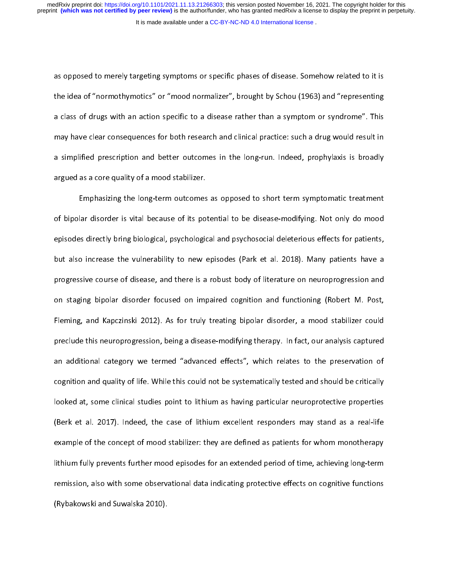as opposed to merely targeting symptoms or specific phases of disease. Somehow related to it is<br>the idea of "normothymotics" or "mood normalizer", brought by Schou (1963) and "representing a class of drugs with an action specific to a disease rather than a symptom or syndrome". This may have clear consequences for both research and clinical practice: such a drug would result in a simplified prescription and better outcomes in the long-run. Indeed, prophylaxis is broadly<br>argued as a core quality of a mood stabilizer. a simplified prescription and better outcomes in the long-run. Indeed, prophylaxis is broadly<br>argued as a core quality of a mood stabilizer.

Emphasizing the long-term outcomes as opposed to short term symptomatic treatment of bipolar disorder is vital because of its potential to be disease-modifying. Not only do mood episodes directly bring biological, psychological and psychosocial deleterious effects for patients, but also increase the vulnerability to new episodes (Park et al. 2018). Many patients have a progressive course of disease, and there is a robust body of literature on neuroprogression and on staging bipolar disorder focused on impaired cognition and functioning (Robert M. Post, Fleming, and Kapczinski 2012). As for truly treating bipolar disorder, a mood stabilizer could preclude this neuroprogression, being a disease-modifying therapy. In fact, our analysis captured an additional category we termed "advanced effects", which relates to the preservation of cognition and quality of life. While this could not be systematically tested and should be critically looked at, some clinical studies point to lithium as having particular neuroprotective properties (Berk et al. 2017). Indeed, the case of lithium excellent responders may stand as a real-life example of the concept of mood stabilizer: they are defined as patients for whom monotherapy lithium fully prevents further mood episodes for an extended period of time, achieving long-term remission, also with some observational data indicating protective effects on cognitive functions<br>(Rybakowski and Suwalska 2010). remission, also with some observations also minimally protective entries on cognitive functions<br>(Rybakowski and Suwalska 2010). (Rybakowski and Suwalska 2010).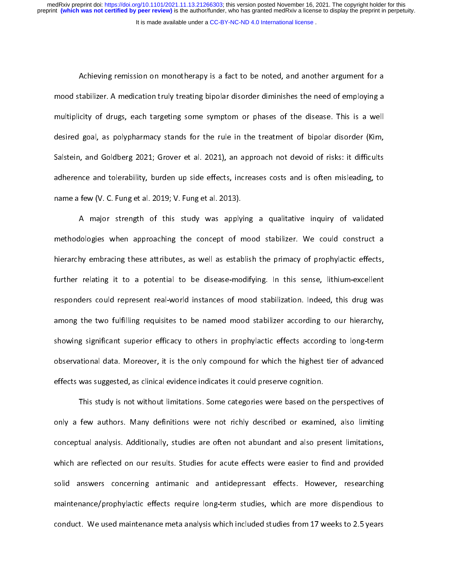Achieving remission on monotherapy is a fact to be noted, and another argument for a<br>mood stabilizer. A medication truly treating bipolar disorder diminishes the need of employing a multiplicity of drugs, each targeting some symptom or phases of the disease. This is a well desired goal, as polypharmacy stands for the rule in the treatment of bipolar disorder (Kim, Salstein, and Goldberg 2021; Grover et al. 2021), an approach not devoid of risks: it difficults adherence and tolerability, burden up side effects, increases costs and is often misleading, to name a few (V.C. Fung et al. 2019; V. Fung et al. 2013).

A major strength of this study was applying a qualitative inquiry of validated methodologies when approaching the concept of mood stabilizer. We could construct a hierarchy embracing these attributes, as well as establish the primacy of prophylactic effects, further relating it to a potential to be disease-modifying. In this sense, lithium-excellent responders could represent real-world instances of mood stabilization. Indeed, this drug was among the two fulfilling requisites to be named mood stabilizer according to our hierarchy, showing significant superior efficacy to others in prophylactic effects according to long-term observational data. Moreover, it is the only compound for which the highest tier of advanced effects was suggested, as clinical evidence indicates it could preserve cognition.

This study is not without limitations. Some categories were based on the perspectives of only a few authors. Many definitions were not richly described or examined, also limiting conceptual analysis. Additionally, studies are often not abundant and also present limitations, which are reflected on our results. Studies for acute effects were easier to find and provided solid answers concerning antimanic and antidepressant effects. However, researching maintenance/prophylactic effects require long-term studies, which are more dispendious to conduct. We used maintenance meta analysis which included studies from 17 weeks to 2.5 years conduct the used maintenance metals included studies from 17 weeks to 2.5 years to 2.5 years to 2.5 years to 2.5 years to 2.5 years to 2.5 years to 2.5 years to 2.5 years to 2.5 years to 2.5 years to 2.5 years to 2.5 years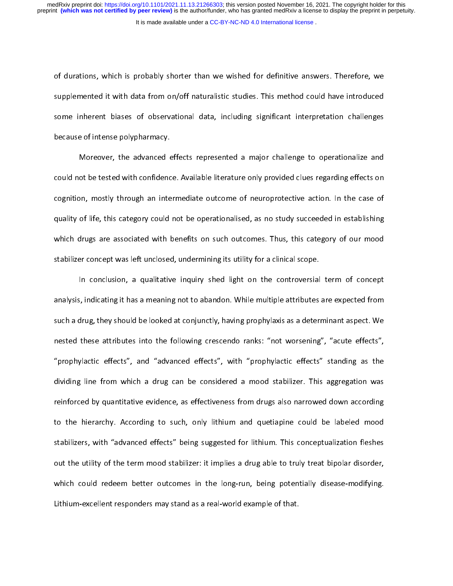of durations, which is probably shorter than we wished for definitive answers. Therefore, we some inherent biases of observational data, including significant interpretation challenges.<br>because of intense polypharmacy. some inherent biases of intense polypharmacy.<br>Some<br>And data, including significant interpretation challenges of the challenges of the challenges of the challenge

Moreover, the advanced effects represented a major challenge to operationalize and could not be tested with confidence. Available literature only provided clues regarding effects on cognition, mostly through an intermediate outcome of neuroprotective action. In the case of quality of life, this category could not be operationalised, as no study succeeded in establishing which drugs are associated with benefits on such outcomes. Thus, this category of our mood stabilizer concept was left unclosed, undermining its utility for a clinical scope.

In conclusion, a qualitative inquiry shed light on the controversial term of concept analysis, indicating it has a meaning not to abandon. While multiple attributes are expected from such a drug, they should be looked at conjunctly, having prophylaxis as a determinant aspect. We nested these attributes into the following crescendo ranks: "not worsening", "acute effects", "prophylactic effects", and "advanced effects", with "prophylactic effects" standing as the dividing line from which a drug can be considered a mood stabilizer. This aggregation was reinforced by quantitative evidence, as effectiveness from drugs also narrowed down according to the hierarchy. According to such, only lithium and quetiapine could be labeled mood stabilizers, with "advanced effects" being suggested for lithium. This conceptualization fleshes out the utility of the term mood stabilizer: it implies a drug able to truly treat bipolar disorder, which could redeem better outcomes in the long-run, being potentially disease-modifying. Lithium-excellent responders may stand as a real-world example of that. Lithium-excellent responders may stand as a real-world example of that.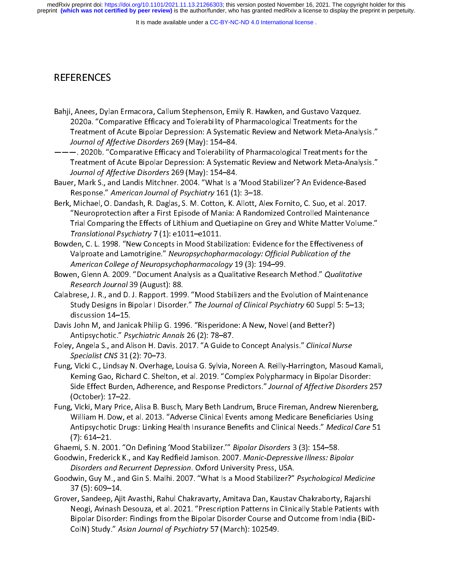It is made available under a [CC-BY-NC-ND 4.0 International license](http://creativecommons.org/licenses/by-nc-nd/4.0/) .

## **REFERENCES**

- Bahji, Anees, Dylan Ermacora, Callum Stephenson, Emily R. Hawken, and Gustavo Vazquez.<br>2020a. "Comparative Efficacy and Tolerability of Pharmacological Treatments for the<br>Treatment of Acute Bipolar Depression: A Systematic Treatment of Acute Bipolar Depression: A Systematic Review and Network Meta-Analysis."
- Treatment of Affective Disorders 269 (May): 154–84.<br>— . 2020b. "Comparative Efficacy and Tolerability of Pharmacological Treatments for the<br>Treatment of Acute Bipolar Depression: A Systematic Review and Network Meta-Analys Journal of Affective Disorders 209 (May): 154–84.<br>— 2020b. "Comparative Efficacy and Tolerability of<br>Treatment of Acute Bipolar Depression: A System:<br>Journal of Affective Disorders 269 (May): 154–84. Treatment of Acute Bipolar Depression: A Systematic Review and Network Meta-Analysi<br>Journal of Affective Disorders 269 (May): 154–84.<br>Bauer, Mark S., and Landis Mitchner. 2004. "What Is a 'Mood Stabilizer'? An Evidence-Bas
- Treatment of Affective Disorders 269 (May): 154–84.<br>Treatment of Affective Disorders 269 (May): 154–84.<br>Treatment of Persent Meta-Analysis. "What Is a 'Mood Stabilizer'? An Evidence-Based Response." American Journal of Psy Journal of Affective Disorders 209 (May): 154–84.<br>r, Mark S., and Landis Mitchner. 2004. "What Is a<br>Response." American Journal of Psychiatry 161 (1)<br>Michael, O. Dandash, R. Daglas, S. M. Cotton, K. A
- Response." American Journal of Psychiatry 161 (1): 3–18.<br>Berk, Michael, O. Dandash, R. Daglas, S. M. Cotton, K. Allott, Alex Fornito, C. Suo, et al. 2017.<br>"Neuroprotection after a First Episode of Mania: A Randomized Contr Response. American Journal of Psychiatry 161 (1): 3–18.<br>"Michael, O. Dandash, R. Daglas, S. M. Cotton, K. Allott, Al<br>"Neuroprotection after a First Episode of Mania: A Rando<br>Trial Comparing the Effects of Lithium and Queti "Neuroprotection after a First Episode of Mania: A Randomized Controlled Maintenance<br>Trial Comparing the Effects of Lithium and Quetiapine on Grey and White Matter Volum<br>Translational Psychiatry 7 (1): e1011–e1011. Trial Comparing the Effects of Lithium and Quetiapine on Grey and White Matter Volume<br>Translational Psychiatry 7 (1): e1011–e1011.<br>den, C. L. 1998. "New Concepts in Mood Stabilization: Evidence for the Effectiveness of
- Translational Psychiatry 7 (1): e1011-e1011.<br>Bowden, C. L. 1998. "New Concepts in Mood Stabilization: Evidence for the Effectiveness of<br>Valproate and Lamotrigine." Neuropsychopharmacology: Official Publication of the American College of Neuropsychopharmacology 19 (3): 194-99. Valproate and Lamotrigine." Neuropsychopharmacology: Official Publication of the<br>American College of Neuropsychopharmacology 19 (3): 194–99.<br>Bowen, Glenn A. 2009. "Document Analysis as a Qualitative Research Method." Quali
- Valproate and Lamotrigine." *Neuropsychopharmacology: Official Publication of the*<br>A*merican College of Neuropsychopharmacology* 19 (3): 194–99.<br>P. Glenn A. 2009. "Document Analysis as a Qualitative Research Method." *Qual* American College of Neuropsychopharmacology 19 (3): 194–99.<br>P. Glenn A. 2009. "Document Analysis as a Qualitative Research<br>Research Journal 39 (August): 88.<br>Prese, J. R., and D. J. Rapport. 1999. "Mood Stabilizers and the
- Bowen, Glenn A. 2009. "Bocament Analysis as a Quantative Research Method." Quantative<br>Research Journal 39 (August): 88.<br>Calabrese, J. R., and D. J. Rapport. 1999. "Mood Stabilizers and the Evolution of Maintenanc<br>Study Des Research Journal 39 (August): 88.<br>Prese, J. R., and D. J. Rapport. 1999<br>Study Designs in Bipolar | Disorder<br>discussion 14–15. Study Designs in Bipolar | Disorder." The Journal of Clinical Psychiatry 60 Suppl 5: 5–13;<br>discussion 14–15.<br>Davis John M, and Janicak Philip G. 1996. "Risperidone: A New, Novel (and Better?) discussion 14–15.<br>Davis John M, and Janicak Philip G. 1996. "Risperidone: A New, Novel (and Better?)
- 
- Antipsychotic." Psychiatric Annals 26 (2): 78–87.<br>y, Angela S., and Alison H. Davis. 2017. "A Guide t<br>Specialist CNS 31 (2): 70–73. Foley, Angela S., and Alison H. Davis. 2017. "A Guide to Concept Analysis." Clinical Nurse Antipsychotic." *Psychiatric Annuls 26* (2): 78–87.<br>7, Angela S., and Alison H. Davis. 2017. "A Guide t<br>*Specialist CNS* 31 (2): 70–73.<br>, Vicki C., Lindsay N. Overhage, Louisa G. Sylvia, N
- Foley, Angela S., and Alison H. Davis. 2017. "A Guide to Concept Analysis." Clinical Nurse<br>Specialist CNS 31 (2): 70–73.<br>Fung, Vicki C., Lindsay N. Overhage, Louisa G. Sylvia, Noreen A. Reilly-Harrington, Masour<br>Keming Gao Specialist CNS 31 (2): 70–73.<br>, Vicki C., Lindsay N. Overhag<br>Keming Gao, Richard C. Shelt<br>Side Effect Burden, Adherend Fund, Gao, Richard C. Shelton, et al. 2019. "Complex Polypharmacy in Bipolar Disorder:<br>Side Effect Burden, Adherence, and Response Predictors." Journal of Affective Disorders 257<br>(October): 17–22. Side Effect Burden, Adherence, and Response Predictors." Journal of Affective Disorders 2<br>(October): 17–22.<br>, Vicki, Mary Price, Alisa B. Busch, Mary Beth Landrum, Bruce Fireman, Andrew Nierenber<br>. . . . . . . . . . . . .
- Side Effect Burden, Adherence, and Response Predictors." *Journal of Affective Disorders 257*<br>(October): 17–22.<br>William H. Dow, et al. 2013. "Adverse Clinical Events among Medicare Beneficiaries Using. (October): 17–22.<br>, Vicki, Mary Price,<br>William H. Dow, et<br>Antipsychotic Drug Fung, Victor, Mary Price, Alisa, Mary Price, Alisandrum, Bruce Price, Alisandrum, Andrew Price, Alisandrum, Mary Beth Landrum, Andrew Nierenberg, Antipsychotic Drugs: Linking Health Insurance Benefits and Clinical Needs." Antipsychotic Drugs: Linking Health Insurance Benefits and Clinical Needs." Medical Care 5<br>(7): 614–21.<br>Imi, S. N. 2001. "On Defining 'Mood Stabilizer.'" Bipolar Disorders 3 (3): 154–58. Antipsychotic Drugs: Linking Health Insurance Benefits and Clinical Needs." Medical Care 51<br>(7): 614–21.<br>Iwin, Frederick K., and Kay Redfield Jamison. 2007. Manic-Depressive Illness: Bipolar
- 
- (\* )<br>: mi, S. N. 200<br>Jwin, Frederi<br>*Disorders an* Goodwin, Frederick K., and Kay Redfield Jamison. 2007. *Manic-Depressive Illness: Bipolar<br>Disorders and Recurrent Depression*. Oxford University Press, USA.<br>Goodwin, Guy M., and Gin S. Malhi. 2007. "What Is a Mood Stabiliz
- Goodwin, Frederick K., and Kay Redfield Jamison. 2007. Manic-Depressive Illiess. Bipolar<br>Disorders and Recurrent Depression. Oxford University Press, USA.<br>Goodwin, Guy M., and Gin S. Malhi. 2007. "What Is a Mood Stabilizer Disorders and Recurrent Depression. Oxford University Press, USA.<br>Iwin, Guy M., and Gin S. Malhi. 2007. "What Is a Mood Stabilizer?"<br>37 (5): 609–14.<br>er, Sandeep, Ajit Avasthi, Rahul Chakravarty, Amitava Dan, Kaustav
- Goodwin, Guy M., and Gin S. Malhi. 2007. "What Is a Mood Stabilizer?" Psychological Medicine<br>37 (5): 609–14.<br>Grover, Sandeep, Ajit Avasthi, Rahul Chakravarty, Amitava Dan, Kaustav Chakraborty, Rajarshi<br>Neogi, Avinash Desou er, Sandeep, Aji<br>er, Sandeep, Aji<br>Neogi, Avinash<br>Bipolar Disorde Reagi, Avinash Desouza, et al. 2021. "Prescription Patterns in Clinically Stable Patients with Bipolar Disorder: Findings from the Bipolar Disorder Course and Outcome from India (BiD CoIN) Study." Asian Journal of Psychiat Bipolar Disorder: Findings from the Bipolar Disorder Course and Outcome from India (BiD-<br>CoIN) Study." Asian Journal of Psychiatry 57 (March): 102549. CoIN) Study." Asian Journal of Psychiatry 57 (March): 102549.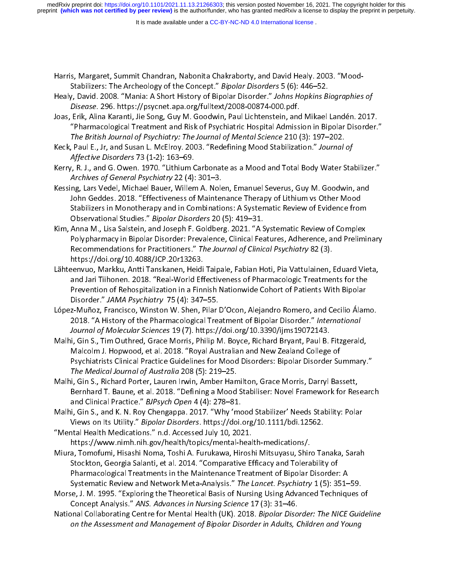It is made available under a [CC-BY-NC-ND 4.0 International license](http://creativecommons.org/licenses/by-nc-nd/4.0/) .

Harris, Margaret, Summit Chandran, Nabonita Chakraborty, and David Healy. 2003. "Mood-

Harris Chandran, Margaret, Summit Chandran, Nabonita Chandran, Nabonita Chandran, Nabonita Chandran, 2003. "Mo<br>David Health Health Health Health Health Health Health Health Health Health Health Health Health Health Health Stabilizers: The Archeology of the Concept." Bipolar Disorders 5 (6): 446–52.<br>Healy, David. 2008. "Mania: A Short History of Bipolar Disorder." Johns Hopkins Biographies of<br>Disease. 296. https://psycnet.apa.org/fulltext/20

Healy, David. 2008. "Mania: A Short History of Bipolar Disorder." Johns Hopkins Biographies of<br>Disease. 296. https://psycnet.apa.org/fulltext/2008-00874-000.pdf.<br>Joas, Erik, Alina Karanti, Jie Song, Guy M. Goodwin, Paul Li Disease. 250. https://psychet.apa.org/fulltext/2000-00874-000.pdf.<br>Erik, Alina Karanti, Jie Song, Guy M. Goodwin, Paul Lichtenstein, and<br>"Pharmacological Treatment and Risk of Psychiatric Hospital Admiss<br>The British Journa "Pharmacological Treatment and Risk of Psychiatric Hospital Admission in Bipolar Disorder."<br>The British Journal of Psychiatry: The Journal of Mental Science 210 (3): 197–202.<br>, Paul E., Jr, and Susan L. McElroy. 2003. "Red

The British Journal of Psychiatry: The Journal of Mental Science 210 (3): 197–202.<br>Paul E., Jr, and Susan L. McElroy. 2003. "Redefining Mood Stabilization." Journal of<br>Affective Disorders 73 (1-2): 163–69. The British Journal of Psychiatry: The Journal of Wental Science 210 (3): 197–202.<br>Paul E., Jr, and Susan L. McElroy. 2003. "Redefining Mood Stabilization." Journal<br>Affective Disorders 73 (1-2): 163–69.<br>, R. J., and G. Owe

Keck, Paul E., Jr, and Susan E. McElroy. 2003. "Redefining Mood Stabilization." Journal of<br>Affective Disorders 73 (1-2): 163–69.<br>Kerry, R. J., and G. Owen. 1970. "Lithium Carbonate as a Mood and Total Body Water Sta<br>Archiv Affective Disorders 73 (1-2): 163–69.<br>7, R. J., and G. Owen. 1970. "Lithium C.<br>Archives of General Psychiatry 22 (4):<br>ng, Lars Vedel, Michael Bauer, Willen

Archives of General Psychiatry 22 (4): 301–3.<br>Kessing, Lars Vedel, Michael Bauer, Willem A. Nolen, Emanuel Severus, Guy M. Goodwin, and<br>John Geddes. 2018. "Effectiveness of Maintenance Therapy of Lithium vs Other Mood Archives of General Psychiatry 22 (4): 301–3.<br>Ing, Lars Vedel, Michael Bauer, Willem A. Nole<br>John Geddes. 2018. "Effectiveness of Mainter<br>Stabilizers in Monotherapy and in Combination John Geddes. 2018. "Effectiveness of Maintenance Therapy of Lithium vs Other Mood<br>Stabilizers in Monotherapy and in Combinations: A Systematic Review of Evidence from<br>Observational Studies." Bipolar Disorders 20 (5): 419–3 Stabilizers in Monotherapy and in Combinations: A Systematic Review of Evidence from<br>Observational Studies." Bipolar Disorders 20 (5): 419–31.<br>Anna M., Lisa Salstein, and Joseph F. Goldberg. 2021. "A Systematic Review of C

Observational Studies." Bipolar Disorders 20 (5): 419–31.<br>Anna M., Lisa Salstein, and Joseph F. Goldberg. 2021. "A Systematic Review of Complex<br>Polypharmacy in Bipolar Disorder: Prevalence, Clinical Features, Adherence, an Observational Studies." *Bipolar Disorders* 20 (5): 419–31.<br>Kim, Anna M., Lisa Salstein, and Joseph F. Goldberg. 2021. "A Systematic Review of Complex<br>Polypharmacy in Bipolar Disorder: Prevalence, Clinical Features, Adhere Rightly Anna M., Lisa Salstein, and Friedrick School of Clinical Features, Adherence, and Prelimi<br>Recommendations for Practitioners." The Journal of Clinical Psychiatry 82 (3).<br>https://doi.org/10.4088/JCP.20r13263. Polyphanning, in Bipolar Disorder: Previously, American Bipolary, Additional Precommendations for Practitioners." The Journal of Clinical Psychiatry 82 (3).<br>https://doi.org/10.4088/JCP.20r13263.<br>eenvuo, Markku, Antti Tansk

Recommendations for Practitioners." *The Journal of Cimicar Psychiatry 62 (3).*<br>https://doi.org/10.4088/JCP.20r13263.<br>Penvuo, Markku, Antti Tanskanen, Heidi Taipale, Fabian Hoti, Pia Vattulainen, I<br>and Jari Tiihonen. 2018. https://doi.org/10.4088/JCP.20r13263. and Jari Tiihonen. 2018. "Real-World Effectiveness of Pharmacologic Treatments for the<br>Prevention of Rehospitalization in a Finnish Nationwide Cohort of Patients With Bipolar<br>Disorder." JAMA Psychiatry 75 (4): 347–55. and Dependion of Rehospitalization in a Finnish Nationwide Cohort of Patients With Bipolar<br>Disorder." JAMA Psychiatry 75 (4): 347–55.<br>Z-Muñoz, Francisco, Winston W. Shen, Pilar D'Ocon, Alejandro Romero, and Cecilio Álam

Disorder." JAMA Psychiatry 75 (4): 347–55.<br>z-Muñoz, Francisco, Winston W. Shen, Pilar D'Ocon, Alejandro Romero, and Cecilio Álan<br>2018. "A History of the Pharmacological Treatment of Bipolar Disorder." International Bisorder. *JAMA Psychidty 75* (4): 347–55.<br>z-Muñoz, Francisco, Winston W. Shen, Pilar<br>2018. "A History of the Pharmacological Treation of Molecular Sciences 19 (7). https:// 2018. "A History of the Pharmacological Treatment of Bipolar Disorder." International<br>Journal of Molecular Sciences 19 (7). https://doi.org/10.3390/jims19072143.<br>Malhi, Gin S., Tim Outhred, Grace Morris, Philip M. Boyce, R

2010. "A History of the Pharmacological Treatment of Bipolar Disorder." *International*<br>Journal of Molecular Sciences 19 (7). https://doi.org/10.3390/jjms19072143.<br>i, Gin S., Tim Outhred, Grace Morris, Philip M. Boyce, Ric Journal of Molecular Sciences 19 (7). https://doi.org/10.3390/ijms19072143.<br>ii, Gin S., Tim Outhred, Grace Morris, Philip M. Boyce, Richard Bryant, Paul B. Fitz<br>Malcolm J. Hopwood, et al. 2018. "Royal Australian and New Ze Psychiatrists Clinical Practice Guidelines for Mood Disorders: Bipolar Disorder Summary." Malcolm J. Hopwood, English J. Hoppen J. Hoppen J. Hoppen J. Hoppen J. Hoppen J. Hoppen J. The Medical Journal of Australia 208 (5): 219–25.<br>The Medical Journal of Australia 208 (5): 219–25.<br>I, Gin S., Richard Porter, Laur

Bernhard T. Baune, et al. 2018. "Defining a Mood Stabiliser: Novel Framework for Research<br>and Clinical Practice." *BJPsych Open* 4 (4): 278–81. The Medical Journal of Australia 208 (5): 219–25.<br>i, Gin S., Richard Porter, Lauren Irwin, Amber Ham<br>Bernhard T. Baune, et al. 2018. "Defining a Mood<br>and Clinical Practice." *BJPsych Open 4 (4)*: 278–81 Malhi, Gin S., and K. N. Roy Chengappa. 2017. "Why 'mood Stabiliser: Novel Framework for Res<br>Malhi, Gin S., and K. N. Roy Chengappa. 2017. "Why 'mood Stabilizer' Needs Stability: Pola

and Clinical Practice." *BJPsych Open* 4 (4): 278–81.<br>i, Gin S., and K. N. Roy Chengappa. 2017. "Why 'mood Stabilizer' Needs Stability: Polar<br>Views on Its Utility." *Bipolar Disorders*. https://doi.org/10.1111/bdi.12562. and Clinical Practice." BJPsych Open 4 (4): 278–81.<br>i, Gin S., and K. N. Roy Chengappa. 2017. "Why 'me<br>Views on Its Utility." Bipolar Disorders. https://doi.<br>htal Health Medications." n.d. Accessed July 10, 202 Views on Its Utility." *Bipolar Disorders.* https://doi.org/10.1111/bdi.12562.<br>"Mental Health Medications." n.d. Accessed July 10, 2021.<br>https://www.nimh.nih.gov/health/topics/mental-health-medications/.

views on Its Otility." *Bipolar Disorders.* https://doi.org/10.1111/bdi.12562.<br>htal Health Medications." n.d. Accessed July 10, 2021.<br>https://www.nimh.nih.gov/health/topics/mental-health-medications/.<br>a, Tomofumi, Hisashi https://www.nimh.nih.gov/health/topics/mental-heal<br>Miura, Tomofumi, Hisashi Noma, Toshi A. Furukawa, Hirosh<br>Stockton, Georgia Salanti, et al. 2014. "Comparative Et a, Tomofumi, Hisashi Noma, Toshi A. Furukawa, Hiroshi Mitsuyasu, Shir<br>Stockton, Georgia Salanti, et al. 2014. "Comparative Efficacy and Tolera<br>Pharmacological Treatments in the Maintenance Treatment of Bipolar I Stockton, Georgia Salanti, et al. 2014. "Comparative Efficacy and Tolerability of<br>Pharmacological Treatments in the Maintenance Treatment of Bipolar Disorder: A<br>Systematic Review and Network Meta-Analysis." The Lancet. Psy Stockton, Georgia Salanti, et al. 2014. "Comparative Efficacy and Tolerability of<br>Pharmacological Treatments in the Maintenance Treatment of Bipolar Disorder: A<br>Systematic Review and Network Meta-Analysis." The Lancet. Psy

Systematic Review and Network Meta-Analysis." *The Lancet. Psychiatry* 1 (5): 351–<br>ie, J. M. 1995. "Exploring the Theoretical Basis of Nursing Using Advanced Techniqu<br>Concept Analysis." *ANS. Advances in Nursing Science* 1 Systematic Review and Network Meta-Analysis." The Lancet. Fisjematry 1 (5): 351–55.<br>E. J. M. 1995. "Exploring the Theoretical Basis of Nursing Using Advanced Techniques of<br>Concept Analysis." ANS. Advances in Nursing Scienc

Concept Analysis." ANS. Advances in Nursing Science 17 (3): 31–46.<br>National Collaborating Centre for Mental Health (UK). 2018. Bipolar Disorder: The NICE Guide.<br>on the Assessment and Management of Bipolar Disorder in Adult Concept Analysis." ANS. Advances in Nursing Science 17 (3): 31–46.<br>
Simal Collaborating Centre for Mental Health (UK). 2018. Bipolar Diso<br>
on the Assessment and Management of Bipolar Disorder in Adults, C National Collaborating Centre for Mental Health (UK). 2018. Bipolar Disorder: The NICE Guideline<br>on the Assessment and Management of Bipolar Disorder in Adults, Children and Young on the Assessment and Management of Bipolar Disorder in Adults, Children and Young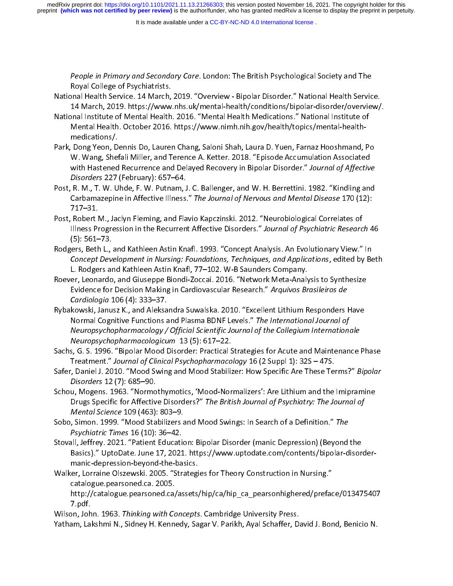It is made available under a [CC-BY-NC-ND 4.0 International license](http://creativecommons.org/licenses/by-nc-nd/4.0/) .

- People in Primary and Secondary Care. London: The British Psychological Society and The<br>Royal College of Psychiatrists.<br>14 March, 2019. https://www.nhs.uk/mental-health/conditions/bipolar-disorder/overvie ,<br>Ia Health Service. 14 March,<br>14 March, 2019. https://www<br>Inal Institute of Mental Health
- 14 March, 2019. https://www.nhs.uk/mental-health/conditions/bipolar-disorder/overview/.<br>Dial Institute of Mental Health. 2016. "Mental Health Medications." National Institute of<br>Mental Health. October 2016. https://www.nim National Institute of Mental Health. 2016. "Mental Health Medications." National Institute of
- Park, Dong Yeon, Dennis Do, Lauren Chang, Saloni Shah, Laura D. Yuen, Farnaz Hooshmand, Po W. Wang, Shefali Miller, and Terence A. Ketter. 2018. "Episode Accumulation Associated medication, D<br>Dong Yeon, D<br>W. Wang, Shet<br>with Hastened W. Wang, Shefali Miller, and Terence A. Ketter. 2018. "Episode Accumulation Associated<br>with Hastened Recurrence and Delayed Recovery in Bipolar Disorder." Journal of Affective<br>Disorders 227 (February): 657–64. With Hastened Recurrence and Delayed Recovery in Bipolar Disorder." Journal of Affective<br>Disorders 227 (February): 657–64.<br>R. M., T. W. Uhde, F. W. Putnam, J. C. Ballenger, and W. H. Berrettini. 1982. "Kindling and
- With Hastened Recurrence and Delayed Recovery in Bipolar Disorder." Journal by Affective<br>Disorders 227 (February): 657–64.<br>R. M., T. W. Uhde, F. W. Putnam, J. C. Ballenger, and W. H. Berrettini. 1982. "Kindling and<br>Carbama Bisorders 227 (February): 657–64.<br>R. M., T. W. Uhde, F. W. Putnam, J<br>Carbamazepine in Affective Illness.<br>717–31. Carbamazepine in Affective Illness." The Journal of Nervous and Mental Disease 170 (12):<br>717–31.<br>Post, Robert M., Jaclyn Fleming, and Flavio Kapczinski. 2012. "Neurobiological Correlates of
- Carbamazepine in Affective Illiess." The Journal of Nervous and Mental Disease 170 (12):<br>717–31.<br>Robert M., Jaclyn Fleming, and Flavio Kapczinski. 2012. "Neurobiological Correlates of<br>Illness Progression in the Recurrent A Robert I<br>Illness Pr<br>-561. (5) Illness Progression in the Recurrent Affective Disorders." Journal of Psychiatric Researc<br>(5): 561–73.<br>"Rodgers, Beth L., and Kathleen Astin Knafl. 1993. "Concept Analysis. An Evolutionary View."
- Illiess Progression in the Recurrent Affective Disorders." Journal of Psychiatric Research 46<br>Illies (5): 561–73.<br>Concept Development in Nursing: Foundations, Techniques, and Applications, edited by Beth. (5): 561–73.<br>|ers, Beth L.,<br>*Concept Dev*<br>L. Rodgers ar Concept Development in Nursing: Foundations, Techniques, and Applications, edited by Beth<br>L. Rodgers and Kathleen Astin Knafl, 77–102. W-B Saunders Company.<br>Roever, Leonardo, and Giuseppe Biondi-Zoccai. 2016. "Network Meta
- Concept Development in Nursing: Foundations, Techniques, and Applications, edited by Beth<br>L. Rodgers and Kathleen Astin Knafl, 77–102. W-B Saunders Company.<br>Evidence for Decision Making in Cardiovascular Research." Arquivo er, Leonardo, and Giuseppe Biondi-Zoccai. 2016. "Network Meta-Analy<br>Evidence for Decision Making in Cardiovascular Research." *Arquivos Br*<br>*Cardiologia* 106 (4): 333–37.
- Cardiologia 106 (4): 333–37.<br>Rybakowski, Janusz K., and Aleksandra Suwalska. 2010. "Excellent Lithium Responders Have Evidence for Decision Making in Cardiovascular Research." Arquivos Brasileiros de<br>Cardiologia 106 (4): 333–37.<br>Normal Cognitive Functions and Plasma BDNF Levels." *The International Journal of* Cardiologia 106 (4): 333–37.<br>kowski, Janusz K., and Aleksa<br>Normal Cognitive Functions a<br>*Neuropsychopharmacology* Rybakowski, Januarius, Januarius K., and Aleksandra BDNF Levels." The International Journal of<br>Neuropsychopharmacology / Official Scientific Journal of the Collegium Internationale<br>Neuropsychopharmacologicum 13 (5): 617–22 Normal Cognitive Functions and Flasma BDNF Levels." The International Journal of<br>Neuropsychopharmacologicum 13 (5): 617–22.<br>s, G. S. 1996. "Bipolar Mood Disorder: Practical Strategies for Acute and Maintenan<br>T Neuropsychopharmacology / Official Scientific Journal of the Collegium Internationale<br>Neuropsychopharmacologicum 13 (5): 617–22.
- Neuropsychopharmacologicum 13 (5): 617–22.<br>s, G. S. 1996. "Bipolar Mood Disorder: Practical S<br>Treatment." *Journal of Clinical Psychopharmaco*<br>; Daniel J. 2010. "Mood Swing and Mood Stabili:
- Treatment." Journal of Clinical Psychopharmacology 16 (2 Suppl 1): 32S 47S.<br>Safer, Daniel J. 2010. "Mood Swing and Mood Stabilizer: How Specific Are These Terms?" Bipolar<br>Disorders 12 (7): 685–90. Treatment." Journal of Clinical Psychopharmacology 16 (2 Suppl 1): 32S – 47S.<br>"Disorders 12 (7): 685–90.<br>u, Mogens. 1963. "Normothymotics, 'Mood-Normalizers': Are Lithium and the
- Safer, Baffer J. 2010. "Mood Swing and Mood Stabilizer: How Specific Are These Terms?" Bipolar<br>Disorders 12 (7): 685–90.<br>Schou, Mogens. 1963. "Normothymotics, 'Mood-Normalizers': Are Lithium and the Imipramine<br>Drugs Specif Disorders 12 (7): 685–90.<br>u, Mogens. 1963. "Normo<br>Drugs Specific for Affectiv<br>Mental Science 109 (463). Drugs Specific for Affective Disorders?" The British Journal of Psychiatry: The Journal of<br>Mental Science 109 (463): 803–9.<br>Sobo, Simon. 1999. "Mood Stabilizers and Mood Swings: In Search of a Definition." The
- Drugs Mental Science 109 (463): 803–9.<br>Sobo, Simon. 1999. "Mood Stabilizers and Mood Swings: In Search of a Definition." The Psychiatric Times 16 (10): 36–42. Mental Science 109 (403): 803–9.<br>Simon. 1999. "Mood Stabilizers and Sychiatric Times 16 (10): 36–42.<br>All, Jeffrey. 2021. "Patient Education
- Sobo, Simon. 1999. "Mood Stabilizers and Mood Swings: In Search of a Definition." The<br>Psychiatric Times 16 (10): 36–42.<br>Stovall, Jeffrey. 2021. "Patient Education: Bipolar Disorder (manic Depression) (Beyond<br>Basics)." Upto Psychiatric Times 16 (10): 36–42.<br>all, Jeffrey. 2021. "Patient Educati<br>Basics)." UptoDate. June 17, 2021<br>manic-depression-beyond-the-ba Basics)." UptoDate. June 17, 2021. https://www.uptodate.com/contents/bipolar-disoromanic-depression-beyond-the-basics.<br>Walker, Lorraine Olszewski. 2005. "Strategies for Theory Construction in Nursing."
- batalogue.pearsoneu.ca. 2005.<br>https://www.uptodate.com/contents/bipolar-disorder-disorder-disorder-disorder-disorder-disorder-disorder-disor manic-depression-beyond-the-basic<br>ter, Lorraine Olszewski. 2005. "Strategi<br>catalogue.pearsoned.ca/assets,<br>http://catalogue.pearsoned.ca/assets,
- Walker, Lorraine Olszewski. 2005. "Strategies for Theory Construction in Nursing." catalogue.pearsoned.ca/<br>http://catalogue.pearsoned.ca/<br>7.pdf.<br>pn, John. 1963. *Thinking with Co* المسين المسين المسين المسين المسين المسين المسين المسين المسين 7.pdf.<br>http://catalogue.pearson.ca/hip/catalogue.pearson.ca/hip/catalogue.pears.camp.lah.html N., Sidney H. Kennedy, Sagar V. Parikh, Ayal Schaffer, David J.
- r<br>on, Joh<br>am, La
- Wilson, John. 1969. *Thinking with Concepts.* Cambridge University Press.<br>Yatham, Lakshmi N., Sidney H. Kennedy, Sagar V. Parikh, Ayal Schaffer, Da<br>.  $\gamma$  and  $\gamma$  is not provided to  $\gamma$ . Sagar V. Parish,  $\gamma$  is the new  $\gamma$  - David  $\gamma$ . Bond, Benicio  $\gamma$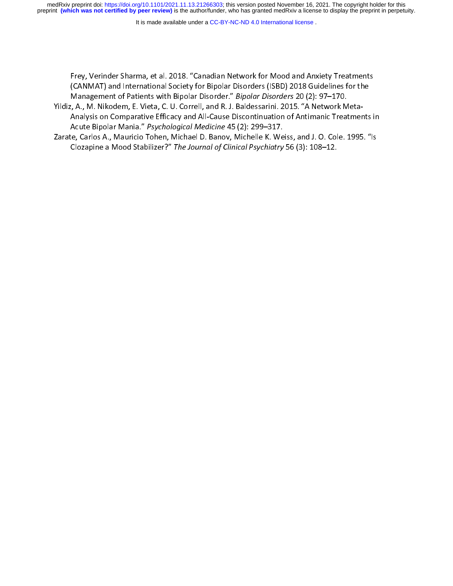It is made available under a CC-BY-NC-ND 4.0 International license.

Frey, Verinder Sharma, et al. 2018. "Canadian Network for Mood and Anxiety Treatments<br>(CANMAT) and International Society for Bipolar Disorders (ISBD) 2018 Guidelines for the<br>Management of Patients with Bipolar Disorder." B

- Analysis on Comparative Efficacy and All-Cause Discontinuation of Antimanic Treatments in<br>Acute Bipolar Mania." Psychological Medicine 45 (2): 299–317. Yildiz, A., M. Nikodem, E. Vieta, C. U. Correll, and R. J. Baldessarini. 2015. "A Network Meta-
- Yarate, Carlos A., Mauricio Tollen, Michael D. Ballov, Michelle K. Welss, and J. O. Cole. 1995<br>Colection Meta-List Million Meta-List Collist Meta-List Fe (2), 1996. 19 Acute Bipolar Mania." *Psychological Medicine* 45 (2): 299–317.<br>:e, Carlos A., Mauricio Tohen, Michael D. Banov, Michelle K. Weiss, and J. O. Cole. 1995. "Is<br>Clozapine a Mood Stabilizer?" *The Journal of Clinical Psychiatr* Acute Bipolar Mania." *Psychological Medicine* 45 (2): 299–317.<br>The Clozapine a Mood Stabilizer?" The Journal of Clinical Psychiatry.<br>Clozapine a Mood Stabilizer?" The Journal of Clinical Psychiatry Clozapine a Mood Stabilizer?" The Journal of Clinical Psychiatry 56 (3): 108-12. Clozapine a Mood Stabilizer?" The Journal of Clinical Psychiatry 56 (3): 108–12.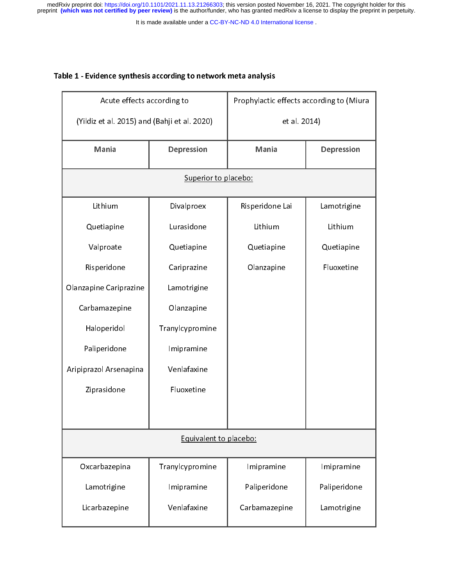It is made available under a [CC-BY-NC-ND 4.0 International license](http://creativecommons.org/licenses/by-nc-nd/4.0/) .

#### Table 1 - Evidence synthesis according to network meta analysis

| Acute effects according to                   |                        | Prophylactic effects according to (Miura |              |  |  |  |
|----------------------------------------------|------------------------|------------------------------------------|--------------|--|--|--|
| (Yildiz et al. 2015) and (Bahji et al. 2020) |                        | et al. 2014)                             |              |  |  |  |
| <b>Mania</b>                                 | Depression             | <b>Mania</b>                             | Depression   |  |  |  |
| Superior to placebo:                         |                        |                                          |              |  |  |  |
| Lithium                                      | Divalproex             | Risperidone Lai                          | Lamotrigine  |  |  |  |
| Quetiapine                                   | Lurasidone             | Lithium                                  | Lithium      |  |  |  |
| Valproate                                    | Quetiapine             | Quetiapine                               | Quetiapine   |  |  |  |
| Risperidone                                  | Cariprazine            | Olanzapine                               | Fluoxetine   |  |  |  |
| Olanzapine Cariprazine                       | Lamotrigine            |                                          |              |  |  |  |
| Carbamazepine                                | Olanzapine             |                                          |              |  |  |  |
| Haloperidol                                  | Tranylcypromine        |                                          |              |  |  |  |
| Paliperidone                                 | Imipramine             |                                          |              |  |  |  |
| Aripiprazol Arsenapina                       | Venlafaxine            |                                          |              |  |  |  |
| Ziprasidone                                  | Fluoxetine             |                                          |              |  |  |  |
|                                              |                        |                                          |              |  |  |  |
|                                              | Equivalent to placebo: |                                          |              |  |  |  |
| Oxcarbazepina                                | Tranylcypromine        | Imipramine                               | Imipramine   |  |  |  |
| Lamotrigine                                  | Imipramine             | Paliperidone                             | Paliperidone |  |  |  |
| Licarbazepine<br>Venlafaxine                 |                        | Carbamazepine                            | Lamotrigine  |  |  |  |
|                                              |                        |                                          |              |  |  |  |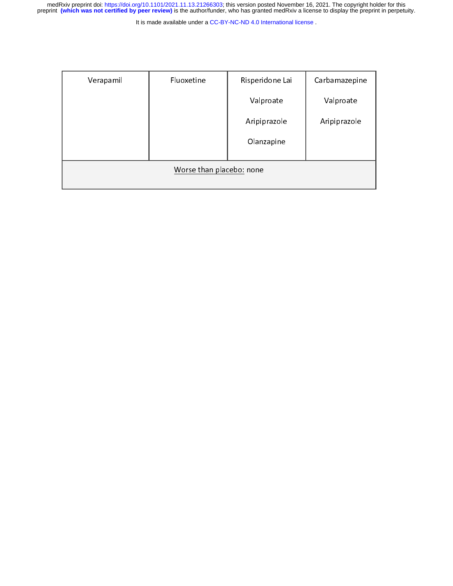It is made available under a [CC-BY-NC-ND 4.0 International license](http://creativecommons.org/licenses/by-nc-nd/4.0/) .

| Verapamil                | Fluoxetine | Risperidone Lai | Carbamazepine |  |
|--------------------------|------------|-----------------|---------------|--|
|                          |            | Valproate       | Valproate     |  |
|                          |            | Aripiprazole    | Aripiprazole  |  |
|                          |            | Olanzapine      |               |  |
|                          |            |                 |               |  |
| Worse than placebo: none |            |                 |               |  |
|                          |            |                 |               |  |
|                          |            |                 |               |  |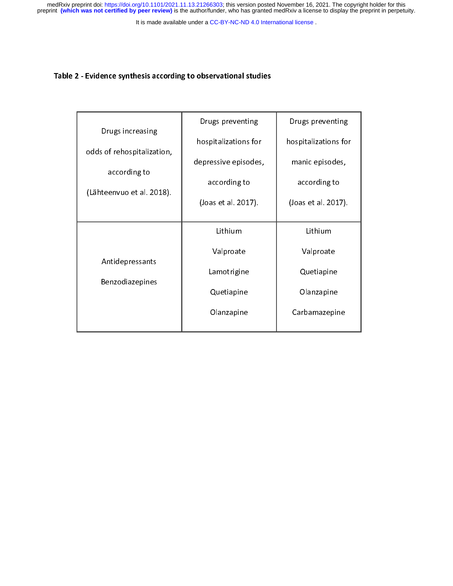It is made available under a [CC-BY-NC-ND 4.0 International license](http://creativecommons.org/licenses/by-nc-nd/4.0/) .

### Table 2 - Evidence synthesis according to observational studies

|                                                                | Drugs preventing<br>Drugs preventing |                      |  |
|----------------------------------------------------------------|--------------------------------------|----------------------|--|
| Drugs increasing<br>odds of rehospitalization,<br>according to | hospitalizations for                 | hospitalizations for |  |
|                                                                | depressive episodes,                 | manic episodes,      |  |
|                                                                | according to                         | according to         |  |
| (Lähteenvuo et al. 2018).                                      | (Joas et al. 2017).                  | (Joas et al. 2017).  |  |
|                                                                |                                      |                      |  |
| Antidepressants<br>Benzodiazepines                             | Lithium                              | Lithium              |  |
|                                                                | Valproate                            | Valproate            |  |
|                                                                | Lamotrigine                          | Quetiapine           |  |
|                                                                | Quetiapine                           | Olanzapine           |  |
|                                                                | Olanzapine                           | Carbamazepine        |  |
|                                                                |                                      |                      |  |
|                                                                |                                      |                      |  |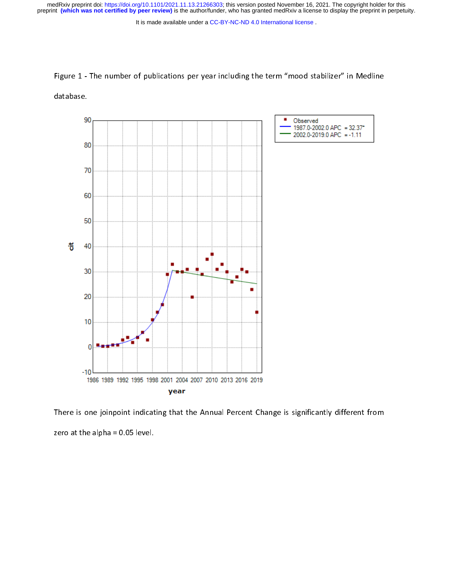It is made available under a [CC-BY-NC-ND 4.0 International license](http://creativecommons.org/licenses/by-nc-nd/4.0/) .

Figure 1 - The number of publications per year including the term "mood stabilizer" in Medline

database.



There is one joinpoint indicating that the Annual Percent Change is significantly different from zero at the alpha = 0.05 level.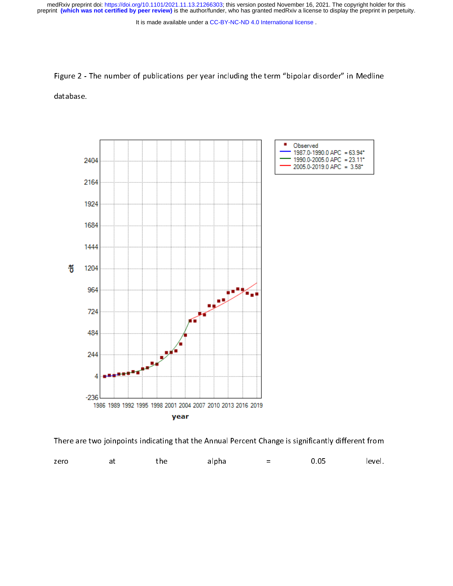It is made available under a [CC-BY-NC-ND 4.0 International license](http://creativecommons.org/licenses/by-nc-nd/4.0/) .

Figure 2 - The number of publications per year including the term "bipolar disorder" in Medline

database.



There are two joinpoints indicating that the Annual Percent Change is significantly different from

| zero | - - | the<br>---- | alpha | $\sim$<br>$\overline{\phantom{0}}$ | በ በ5 | level. |
|------|-----|-------------|-------|------------------------------------|------|--------|
|      |     |             |       |                                    |      |        |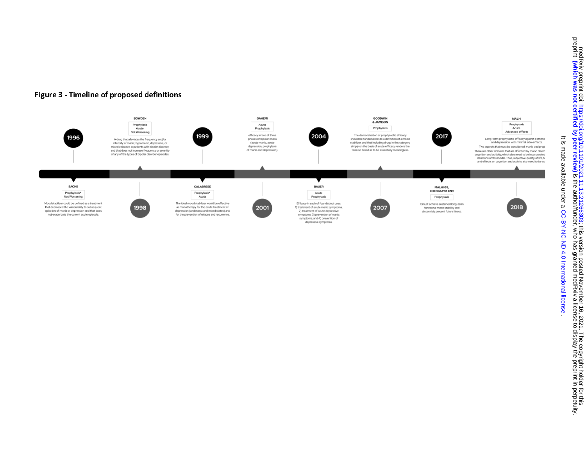### Figure 3 - Timeline of proposed definitions



. [CC-BY-NC-ND 4.0 International license](http://creativecommons.org/licenses/by-nc-nd/4.0/) It is made available under a

It is made available under a CC-BY-NC-ND 4.0 International license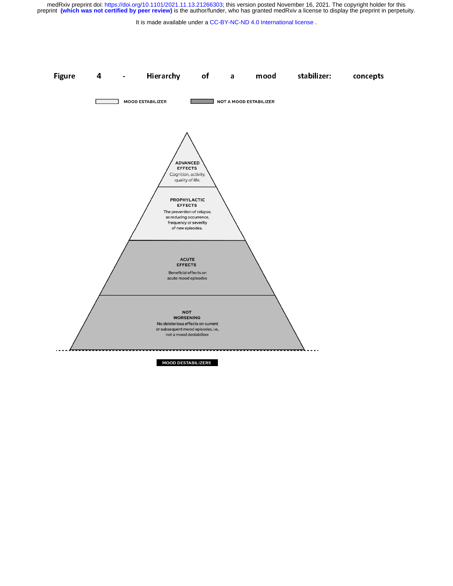It is made available under a [CC-BY-NC-ND 4.0 International license](http://creativecommons.org/licenses/by-nc-nd/4.0/) .

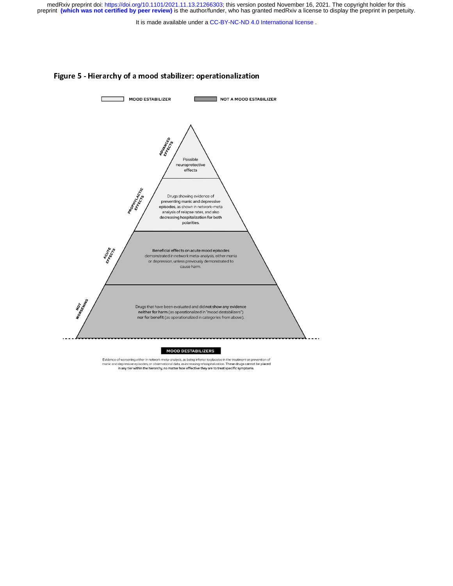It is made available under a [CC-BY-NC-ND 4.0 International license](http://creativecommons.org/licenses/by-nc-nd/4.0/) .

#### Figure 5 - Hierarchy of a mood stabilizer: operationalization



#### **MOOD DESTABILIZERS**

Evidence of worsening either in network meta-analysis, as being inferior to placebo in the treatment or prevention of<br>manic and depressive episodes, or observational data, as increasing rehospitalization. These drugs canno